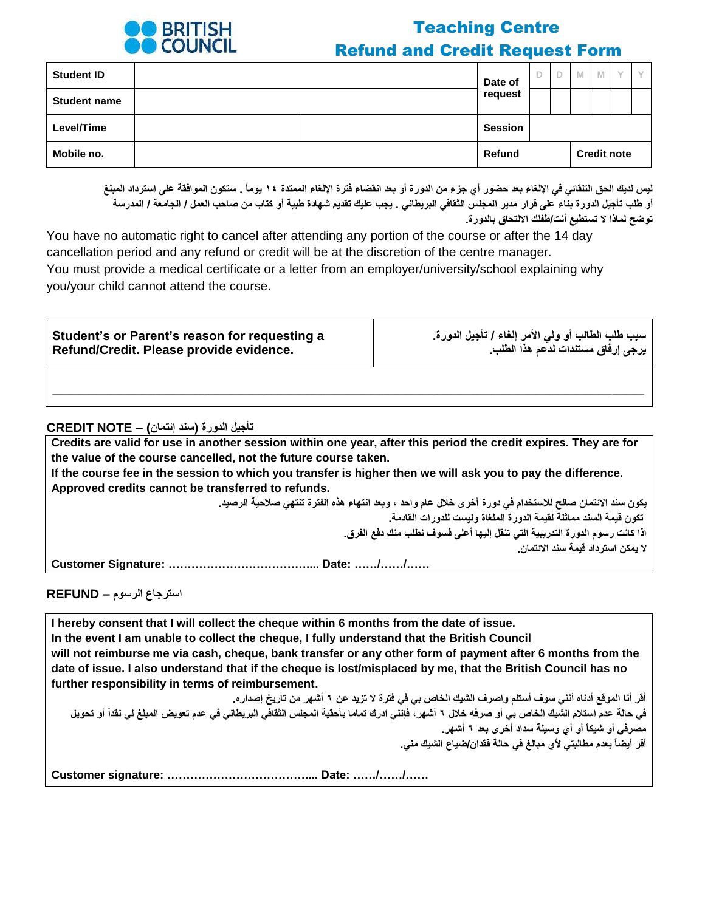

# Teaching Centre Refund and Credit Request Form

| <b>Student ID</b>   |  | Date of | D | M | M |                    |  |
|---------------------|--|---------|---|---|---|--------------------|--|
| <b>Student name</b> |  | request |   |   |   |                    |  |
| Level/Time          |  | Session |   |   |   |                    |  |
| Mobile no.          |  | Refund  |   |   |   | <b>Credit note</b> |  |

**ليس لديك الحق التلقائي في اإللغاء بعد حضور أي جزء من الدورة أو بعد انقضاء فترة اإللغاء الممتدة ١٤ يوما . ستكون الموافقة على استرداد المبلغ أو طلب تأجيل الدورة بناء على قرار مدير المجلس الثقافي البريطاني . يجب عليك تقديم شهادة طبية أو كتاب من صاحب العمل / الجامعة / المدرسة توضح لماذا ال تستطيع أنت/طفلك االلتحاق بالدورة.**

You have no automatic right to cancel after attending any portion of the course or after the 14 day cancellation period and any refund or credit will be at the discretion of the centre manager. You must provide a medical certificate or a letter from an employer/university/school explaining why you/your child cannot attend the course.

| Student's or Parent's reason for requesting a | سبب طلب الطالب أو ولى الأمر إلغاء / تأجيل الدورة. |  |  |  |  |  |
|-----------------------------------------------|---------------------------------------------------|--|--|--|--|--|
| Refund/Credit. Please provide evidence.       | يرجى إرفاق مستندات لدعم هذا الطلب                 |  |  |  |  |  |
|                                               |                                                   |  |  |  |  |  |

**\_\_\_\_\_\_\_\_\_\_\_\_\_\_\_\_\_\_\_\_\_\_\_\_\_\_\_\_\_\_\_\_\_\_\_\_\_\_\_\_\_\_\_\_\_\_\_\_\_\_\_\_\_\_\_\_\_\_\_\_\_\_\_\_\_\_\_\_\_\_\_\_\_\_\_\_\_\_\_\_\_\_\_\_\_\_\_\_\_\_\_\_\_\_\_\_\_\_\_\_\_\_\_\_\_\_\_\_\_\_\_\_\_\_\_\_\_\_\_\_\_\_\_\_\_\_\_\_\_\_\_\_**

#### **تأجيل الدورة )سند إئتمان( – NOTE CREDIT**

**Credits are valid for use in another session within one year, after this period the credit expires. They are for the value of the course cancelled, not the future course taken.** 

**If the course fee in the session to which you transfer is higher then we will ask you to pay the difference. Approved credits cannot be transferred to refunds.**

> **يكون سند االئتمان صالح لالستخدام في دورة أخرى خالل عام واحد ، وبعد انتهاء هذه الفترة تنتهي صالحية الرصيد. تكون قيمة السند مماثلة لقيمة الدورة الملغاة وليست للدورات القادمة. اذا كانت رسوم الدورة التدريبية التي تنقل إليها أعلى فسوف نطلب منك دفع الفرق. ال يمكن استرداد قيمة سند االئتمان.**

**Customer Signature: ……………………………….... Date: ……/……/……** 

**I hereby consent that I will collect the cheque within 6 months from the date of issue. In the event I am unable to collect the cheque, I fully understand that the British Council will not reimburse me via cash, cheque, bank transfer or any other form of payment after 6 months from the date of issue. I also understand that if the cheque is lost/misplaced by me, that the British Council has no further responsibility in terms of reimbursement.**

**أقر أنا الموقع أدناه أنني سوف أستلم واصرف الشيك الخاص بي في فترة ال تزيد عن ٦ أشهر من تاريخ إصداره.** في حالة عدم استلام الشيك الخاص بي أو صرفه خلال ٦ أشهر ، فإنني ادرك تماما بأحقية المجلس الثقافي البريطاني في عدم تعويض المبلغ لي نقداً أو تحويل **مصرفي أو شيكاّ أو أي وسيلة سداد أخرى بعد ٦ أشهر. أقر أيضا بعدم مطالبتي ألي مبالغ في حالة فقدان/ضياع الشيك مني.**

**Customer signature: ……………………………….... Date: ……/……/……**

**استرجاع الرسوم – REFUND**